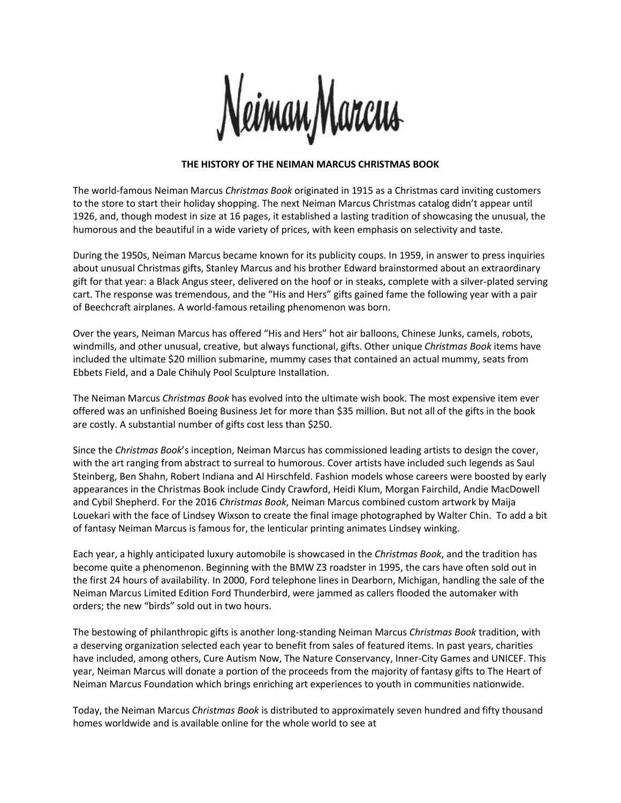

## **THE HISTORY OF THE NEIMAN MARCUS CHRISTMAS BOOK**

The world-famous Neiman Marcus *Christmas Book* originated in 1915 as a Christmas card inviting customers to the store to start their holiday shopping. The next Neiman Marcus Christmas catalog didn't appear until 1926, and, though modest in size at 16 pages, it established a lasting tradition of showcasing the unusual, the humorous and the beautiful in a wide variety of prices, with keen emphasis on selectivity and taste.

During the 1950s, Neiman Marcus became known for its publicity coups. In 1959, in answer to press inquiries about unusual Christmas gifts, Stanley Marcus and his brother Edward brainstormed about an extraordinary gift for that year: a Black Angus steer, delivered on the hoof or in steaks, complete with a silver-plated serving cart. The response was tremendous, and the "His and Hers" gifts gained fame the following year with a pair of Beechcraft airplanes. A world-famous retailing phenomenon was born.

Over the years, Neiman Marcus has offered "His and Hers" hot air balloons, Chinese Junks, camels, robots, windmills, and other unusual, creative, but always functional, gifts. Other unique *Christmas Book* items have included the ultimate \$20 million submarine, mummy cases that contained an actual mummy, seats from Ebbets Field, and a Dale Chihuly Pool Sculpture Installation.

The Neiman Marcus *Christmas Book* has evolved into the ultimate wish book. The most expensive item ever offered was an unfinished Boeing Business Jet for more than \$35 million. But not all of the gifts in the book are costly. A substantial number of gifts cost less than \$250.

Since the *Christmas Book*'s inception, Neiman Marcus has commissioned leading artists to design the cover, with the art ranging from abstract to surreal to humorous. Cover artists have included such legends as Saul Steinberg, Ben Shahn, Robert Indiana and Al Hirschfeld. Fashion models whose careers were boosted by early appearances in the Christmas Book include Cindy Crawford, Heidi Klum, Morgan Fairchild, Andie MacDowell and Cybil Shepherd. For the 2016 *Christmas Book*, Neiman Marcus combined custom artwork by Maija Louekari with the face of Lindsey Wixson to create the final image photographed by Walter Chin. To add a bit of fantasy Neiman Marcus is famous for, the lenticular printing animates Lindsey winking.

Each year, a highly anticipated luxury automobile is showcased in the *Christmas Book*, and the tradition has become quite a phenomenon. Beginning with the BMW Z3 roadster in 1995, the cars have often sold out in the first 24 hours of availability. In 2000, Ford telephone lines in Dearborn, Michigan, handling the sale of the Neiman Marcus Limited Edition Ford Thunderbird, were jammed as callers flooded the automaker with orders; the new "birds" sold out in two hours.

The bestowing of philanthropic gifts is another long-standing Neiman Marcus *Christmas Book* tradition, with a deserving organization selected each year to benefit from sales of featured items. In past years, charities have included, among others, Cure Autism Now, The Nature Conservancy, Inner-City Games and UNICEF. This year, Neiman Marcus will donate a portion of the proceeds from the majority of fantasy gifts to The Heart of Neiman Marcus Foundation which brings enriching art experiences to youth in communities nationwide.

Today, the Neiman Marcus *Christmas Book* is distributed to approximately seven hundred and fifty thousand homes worldwide and is available online for the whole world to see at